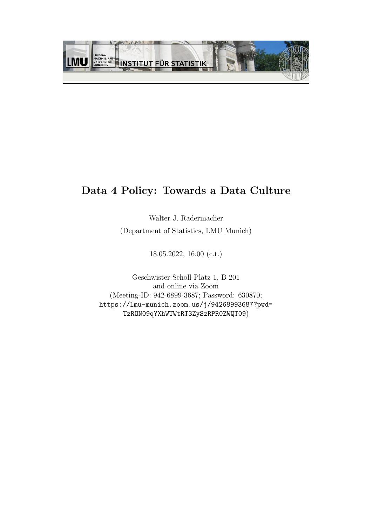

## Data 4 Policy: Towards a Data Culture

Walter J. Radermacher (Department of Statistics, LMU Munich)

18.05.2022, 16.00 (c.t.)

Geschwister-Scholl-Platz 1, B 201 and online via Zoom (Meeting-ID: 942-6899-3687; Password: 630870; [https://lmu-munich.zoom.us/j/94268993687?pwd=](https://lmu-munich.zoom.us/j/94268993687?pwd=TzRON09qYXhWTWtRT3ZySzRPR0ZWQT09) [TzRON09qYXhWTWtRT3ZySzRPR0ZWQT09](https://lmu-munich.zoom.us/j/94268993687?pwd=TzRON09qYXhWTWtRT3ZySzRPR0ZWQT09))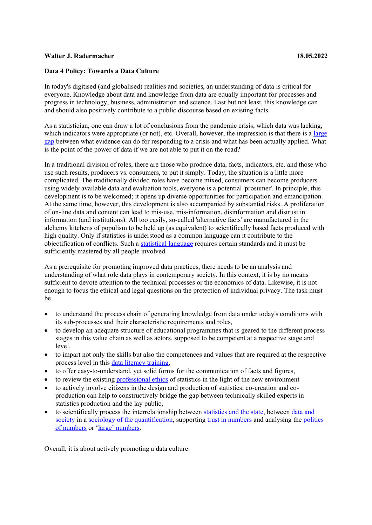## **Walter J. Radermacher 18.05.2022**

## **Data 4 Policy: Towards a Data Culture**

In today's digitised (and globalised) realities and societies, an understanding of data is critical for everyone. Knowledge about data and knowledge from data are equally important for processes and progress in technology, business, administration and science. Last but not least, this knowledge can and should also positively contribute to a public discourse based on existing facts.

As a statistician, one can draw a lot of conclusions from the pandemic crisis, which data was lacking, which indicators were appropriate (or not), etc. Overall, however, the impression is that there is a large [gap](https://medium.com/data-policy/how-statistics-can-help-going-beyond-covid-19-22bb2ce92440) between what evidence can do for responding to a crisis and what has been actually applied. What is the point of the power of data if we are not able to put it on the road?

In a traditional division of roles, there are those who produce data, facts, indicators, etc. and those who use such results, producers vs. consumers, to put it simply. Today, the situation is a little more complicated. The traditionally divided roles have become mixed, consumers can become producers using widely available data and evaluation tools, everyone is a potential 'prosumer'. In principle, this development is to be welcomed; it opens up diverse opportunities for participation and emancipation. At the same time, however, this development is also accompanied by substantial risks. A proliferation of on-line data and content can lead to mis-use, mis-information, disinformation and distrust in information (and institutions). All too easily, so-called 'alternative facts' are manufactured in the alchemy kitchens of populism to be held up (as equivalent) to scientifically based facts produced with high quality. Only if statistics is understood as a common language can it contribute to the objectification of conflicts. Such a [statistical](https://medium.com/data-policy/official-statistics-language-for-public-discourse-part-1-294d31e56b6e) language requires certain standards and it must be sufficiently mastered by all people involved.

As a prerequisite for promoting improved data practices, there needs to be an analysis and understanding of what role data plays in contemporary society. In this context, it is by no means sufficient to devote attention to the technical processes or the economics of data. Likewise, it is not enough to focus the ethical and legal questions on the protection of individual privacy. The task must be

- to understand the process chain of generating knowledge from data under today's conditions with its sub-processes and their characteristic requirements and roles,
- to develop an adequate structure of educational programmes that is geared to the different process stages in this value chain as well as actors, supposed to be competent at a respective stage and level.
- x to impart not only the skills but also the competences and values that are required at the respective process level in this [data literacy training,](https://content.iospress.com/articles/statistical-journal-of-the-iaos/sji210852)
- x to offer easy-to-understand, yet solid forms for the communication of facts and figures,
- to review the existing [professional ethics](https://www.isi-web.org/about/policies/professional-ethics) of statistics in the light of the new environment
- to actively involve citizens in the design and production of statistics; co-creation and coproduction can help to constructively bridge the gap between technically skilled experts in statistics production and the lay public,
- to scientifically process the interrelationship between [statistics and the state,](https://www.ebookmakes.com/pdf/the-mutual-construction-of-statistics-and-society/) between data and [society](https://uk.sagepub.com/en-gb/eur/data-and-society/book269709) in a [sociology of the quantification,](https://www.editionsladecouverte.fr/sociologie_de_la_quantification-9782348041853) supporting [trust in numbers](https://press.princeton.edu/books/paperback/9780691208411/trust-in-numbers) and analysing the politics [of numbers](https://link.springer.com/book/10.1007%2F978-3-030-78201-6) or 'large' numbers.

Overall, it is about actively promoting a data culture.